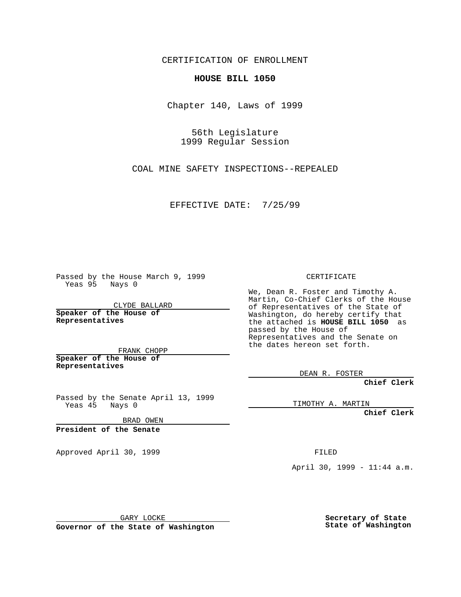CERTIFICATION OF ENROLLMENT

**HOUSE BILL 1050**

Chapter 140, Laws of 1999

56th Legislature 1999 Regular Session

COAL MINE SAFETY INSPECTIONS--REPEALED

EFFECTIVE DATE: 7/25/99

Passed by the House March 9, 1999 Yeas 95 Nays 0

CLYDE BALLARD **Speaker of the House of Representatives**

FRANK CHOPP **Speaker of the House of Representatives**

Passed by the Senate April 13, 1999

Yeas 45 Nays 0

BRAD OWEN

**President of the Senate**

Approved April 30, 1999 **FILED** 

CERTIFICATE

We, Dean R. Foster and Timothy A. Martin, Co-Chief Clerks of the House of Representatives of the State of Washington, do hereby certify that the attached is **HOUSE BILL 1050** as passed by the House of Representatives and the Senate on the dates hereon set forth.

DEAN R. FOSTER

**Chief Clerk**

TIMOTHY A. MARTIN

**Chief Clerk**

April 30, 1999 - 11:44 a.m.

GARY LOCKE

**Governor of the State of Washington**

**Secretary of State State of Washington**